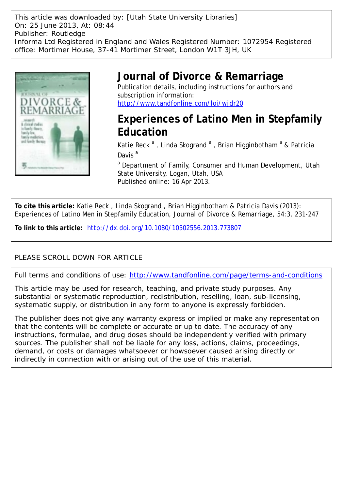This article was downloaded by: [Utah State University Libraries] On: 25 June 2013, At: 08:44 Publisher: Routledge Informa Ltd Registered in England and Wales Registered Number: 1072954 Registered office: Mortimer House, 37-41 Mortimer Street, London W1T 3JH, UK



# **Journal of Divorce & Remarriage**

Publication details, including instructions for authors and subscription information: <http://www.tandfonline.com/loi/wjdr20>

## **Experiences of Latino Men in Stepfamily Education**

Katie Reck<sup>a</sup>, Linda Skogrand<sup>a</sup>, Brian Higginbotham<sup>a</sup> & Patricia Davis<sup>a</sup>

<sup>a</sup> Department of Family, Consumer and Human Development, Utah State University, Logan, Utah, USA Published online: 16 Apr 2013.

**To cite this article:** Katie Reck , Linda Skogrand , Brian Higginbotham & Patricia Davis (2013): Experiences of Latino Men in Stepfamily Education, Journal of Divorce & Remarriage, 54:3, 231-247

**To link to this article:** <http://dx.doi.org/10.1080/10502556.2013.773807>

## PLEASE SCROLL DOWN FOR ARTICLE

Full terms and conditions of use:<http://www.tandfonline.com/page/terms-and-conditions>

This article may be used for research, teaching, and private study purposes. Any substantial or systematic reproduction, redistribution, reselling, loan, sub-licensing, systematic supply, or distribution in any form to anyone is expressly forbidden.

The publisher does not give any warranty express or implied or make any representation that the contents will be complete or accurate or up to date. The accuracy of any instructions, formulae, and drug doses should be independently verified with primary sources. The publisher shall not be liable for any loss, actions, claims, proceedings, demand, or costs or damages whatsoever or howsoever caused arising directly or indirectly in connection with or arising out of the use of this material.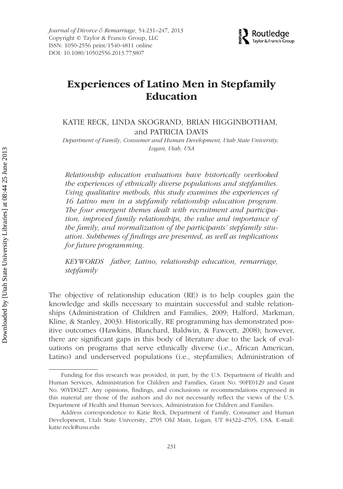

## **Experiences of Latino Men in Stepfamily Education**

KATIE RECK, LINDA SKOGRAND, BRIAN HIGGINBOTHAM, and PATRICIA DAVIS

*Department of Family, Consumer and Human Development, Utah State University, Logan, Utah, USA*

*Relationship education evaluations have historically overlooked the experiences of ethnically diverse populations and stepfamilies. Using qualitative methods, this study examines the experiences of 16 Latino men in a stepfamily relationship education program. The four emergent themes dealt with recruitment and participation, improved family relationships, the value and importance of the family, and normalization of the participants' stepfamily situation. Subthemes of findings are presented, as well as implications for future programming.*

*KEYWORDS father, Latino, relationship education, remarriage, stepfamily*

The objective of relationship education (RE) is to help couples gain the knowledge and skills necessary to maintain successful and stable relationships (Administration of Children and Families, 2009; Halford, Markman, Kline, & Stanley, 2003). Historically, RE programming has demonstrated positive outcomes (Hawkins, Blanchard, Baldwin, & Fawcett, 2008); however, there are significant gaps in this body of literature due to the lack of evaluations on programs that serve ethnically diverse (i.e., African American, Latino) and underserved populations (i.e., stepfamilies; Administration of

Funding for this research was provided, in part, by the U.S. Department of Health and Human Services, Administration for Children and Families, Grant No. 90FE0129 and Grant No. 90YD0227. Any opinions, findings, and conclusions or recommendations expressed in this material are those of the authors and do not necessarily reflect the views of the U.S. Department of Health and Human Services, Administration for Children and Families.

Address correspondence to Katie Reck, Department of Family, Consumer and Human Development, Utah State University, 2705 Old Main, Logan, UT 84322–2705, USA. E-mail: katie.reck@usu.edu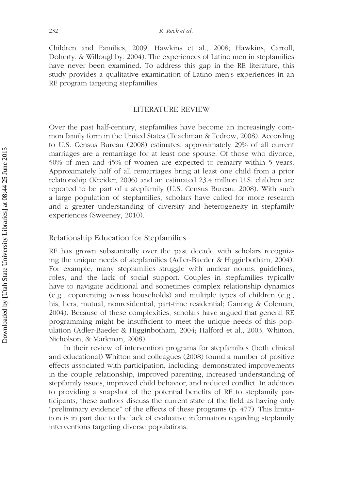Children and Families, 2009; Hawkins et al., 2008; Hawkins, Carroll, Doherty, & Willoughby, 2004). The experiences of Latino men in stepfamilies have never been examined. To address this gap in the RE literature, this study provides a qualitative examination of Latino men's experiences in an RE program targeting stepfamilies.

#### LITERATURE REVIEW

Over the past half-century, stepfamilies have become an increasingly common family form in the United States (Teachman & Tedrow, 2008). According to U.S. Census Bureau (2008) estimates, approximately 29% of all current marriages are a remarriage for at least one spouse. Of those who divorce, 50% of men and 45% of women are expected to remarry within 5 years. Approximately half of all remarriages bring at least one child from a prior relationship (Kreider, 2006) and an estimated 23.4 million U.S. children are reported to be part of a stepfamily (U.S. Census Bureau, 2008). With such a large population of stepfamilies, scholars have called for more research and a greater understanding of diversity and heterogeneity in stepfamily experiences (Sweeney, 2010).

## Relationship Education for Stepfamilies

RE has grown substantially over the past decade with scholars recognizing the unique needs of stepfamilies (Adler-Baeder & Higginbotham, 2004). For example, many stepfamilies struggle with unclear norms, guidelines, roles, and the lack of social support. Couples in stepfamilies typically have to navigate additional and sometimes complex relationship dynamics (e.g., coparenting across households) and multiple types of children (e.g., his, hers, mutual, nonresidential, part-time residential; Ganong & Coleman, 2004). Because of these complexities, scholars have argued that general RE programming might be insufficient to meet the unique needs of this population (Adler-Baeder & Higginbotham, 2004; Halford et al., 2003; Whitton, Nicholson, & Markman, 2008).

In their review of intervention programs for stepfamilies (both clinical and educational) Whitton and colleagues (2008) found a number of positive effects associated with participation, including: demonstrated improvements in the couple relationship, improved parenting, increased understanding of stepfamily issues, improved child behavior, and reduced conflict. In addition to providing a snapshot of the potential benefits of RE to stepfamily participants, these authors discuss the current state of the field as having only "preliminary evidence" of the effects of these programs (p. 477). This limitation is in part due to the lack of evaluative information regarding stepfamily interventions targeting diverse populations.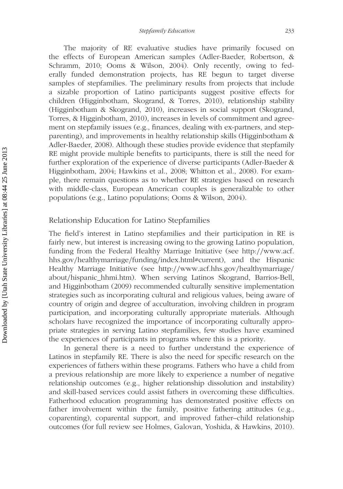The majority of RE evaluative studies have primarily focused on the effects of European American samples (Adler-Baeder, Robertson, & Schramm, 2010; Ooms & Wilson, 2004). Only recently, owing to federally funded demonstration projects, has RE begun to target diverse samples of stepfamilies. The preliminary results from projects that include a sizable proportion of Latino participants suggest positive effects for children (Higginbotham, Skogrand, & Torres, 2010), relationship stability (Higginbotham & Skogrand, 2010), increases in social support (Skogrand, Torres, & Higginbotham, 2010), increases in levels of commitment and agreement on stepfamily issues (e.g., finances, dealing with ex-partners, and stepparenting), and improvements in healthy relationship skills (Higginbotham & Adler-Baeder, 2008). Although these studies provide evidence that stepfamily RE might provide multiple benefits to participants, there is still the need for further exploration of the experience of diverse participants (Adler-Baeder & Higginbotham, 2004; Hawkins et al., 2008; Whitton et al., 2008). For example, there remain questions as to whether RE strategies based on research with middle-class, European American couples is generalizable to other populations (e.g., Latino populations; Ooms & Wilson, 2004).

## Relationship Education for Latino Stepfamilies

The field's interest in Latino stepfamilies and their participation in RE is fairly new, but interest is increasing owing to the growing Latino population, funding from the Federal Healthy Marriage Initiative (see http:*//*www.acf. hhs.gov*/*healthymarriage*/*funding*/*index.html#current), and the Hispanic Healthy Marriage Initiative (see http:*//*www.acf.hhs.gov*/*healthymarriage*/* about*/*hispanic\_hhmi.htm). When serving Latinos Skogrand, Barrios-Bell, and Higginbotham (2009) recommended culturally sensitive implementation strategies such as incorporating cultural and religious values, being aware of country of origin and degree of acculturation, involving children in program participation, and incorporating culturally appropriate materials. Although scholars have recognized the importance of incorporating culturally appropriate strategies in serving Latino stepfamilies, few studies have examined the experiences of participants in programs where this is a priority.

In general there is a need to further understand the experience of Latinos in stepfamily RE. There is also the need for specific research on the experiences of fathers within these programs. Fathers who have a child from a previous relationship are more likely to experience a number of negative relationship outcomes (e.g., higher relationship dissolution and instability) and skill-based services could assist fathers in overcoming these difficulties. Fatherhood education programming has demonstrated positive effects on father involvement within the family, positive fathering attitudes (e.g., coparenting), coparental support, and improved father–child relationship outcomes (for full review see Holmes, Galovan, Yoshida, & Hawkins, 2010).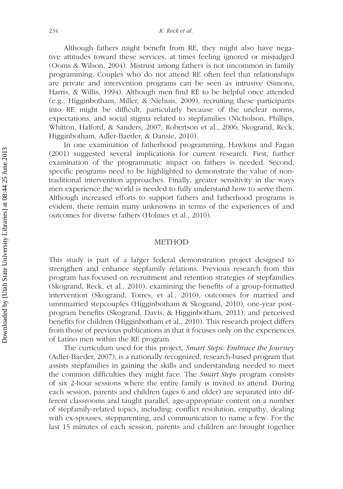Although fathers might benefit from RE, they might also have negative attitudes toward these services, at times feeling ignored or misjudged (Ooms & Wilson, 2004). Mistrust among fathers is not uncommon in family programming. Couples who do not attend RE often feel that relationships are private and intervention programs can be seen as intrusive (Simons, Harris, & Willis, 1994). Although men find RE to be helpful once attended (e.g., Higginbotham, Miller, & Niehuis, 2009), recruiting these participants into RE might be difficult, particularly because of the unclear norms, expectations, and social stigma related to stepfamilies (Nicholson, Phillips, Whitton, Halford, & Sanders, 2007; Robertson et al., 2006; Skogrand, Reck, Higginbotham, Adler-Baeder, & Dansie, 2010).

In one examination of fatherhood programming, Hawkins and Fagan (2001) suggested several implications for current research. First, further examination of the programmatic impact on fathers is needed. Second, specific programs need to be highlighted to demonstrate the value of nontraditional intervention approaches. Finally, greater sensitivity in the ways men experience the world is needed to fully understand how to serve them. Although increased efforts to support fathers and fatherhood programs is evident, there remain many unknowns in terms of the experiences of and outcomes for diverse fathers (Holmes et al., 2010).

#### METHOD

This study is part of a larger federal demonstration project designed to strengthen and enhance stepfamily relations. Previous research from this program has focused on recruitment and retention strategies of stepfamilies (Skogrand, Reck, et al., 2010), examining the benefits of a group-formatted intervention (Skogrand, Torres, et al., 2010), outcomes for married and umnmarried stepcouples (Higginbotham & Skogrand, 2010), one-year postprogram benefits (Skogrand, Davis, & Higginbotham, 2011), and perceived benefits for children (Higginbotham et al., 2010). This research project differs from those of previous publications in that it focuses only on the experiences of Latino men within the RE program.

The curriculum used for this project, *Smart Steps: Embrace the Journey* (Adler-Baeder, 2007), is a nationally recognized, research-based program that assists stepfamilies in gaining the skills and understanding needed to meet the common difficulties they might face. The *Smart Steps* program consists of six 2-hour sessions where the entire family is invited to attend. During each session, parents and children (ages 6 and older) are separated into different classrooms and taught parallel, age-appropriate content on a number of stepfamily-related topics, including: conflict resolution, empathy, dealing with ex-spouses, stepparenting, and communication to name a few. For the last 15 minutes of each session, parents and children are brought together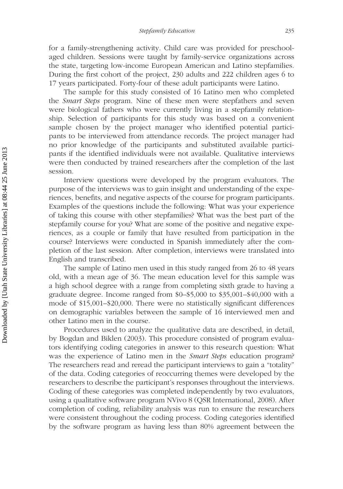for a family-strengthening activity. Child care was provided for preschoolaged children. Sessions were taught by family-service organizations across the state, targeting low-income European American and Latino stepfamilies. During the first cohort of the project, 230 adults and 222 children ages 6 to 17 years participated. Forty-four of these adult participants were Latino.

The sample for this study consisted of 16 Latino men who completed the *Smart Steps* program. Nine of these men were stepfathers and seven were biological fathers who were currently living in a stepfamily relationship. Selection of participants for this study was based on a convenient sample chosen by the project manager who identified potential participants to be interviewed from attendance records. The project manager had no prior knowledge of the participants and substituted available participants if the identified individuals were not available. Qualitative interviews were then conducted by trained researchers after the completion of the last session.

Interview questions were developed by the program evaluators. The purpose of the interviews was to gain insight and understanding of the experiences, benefits, and negative aspects of the course for program participants. Examples of the questions include the following: What was your experience of taking this course with other stepfamilies? What was the best part of the stepfamily course for you? What are some of the positive and negative experiences, as a couple or family that have resulted from participation in the course? Interviews were conducted in Spanish immediately after the completion of the last session. After completion, interviews were translated into English and transcribed.

The sample of Latino men used in this study ranged from 26 to 48 years old, with a mean age of 36. The mean education level for this sample was a high school degree with a range from completing sixth grade to having a graduate degree. Income ranged from \$0–\$5,000 to \$35,001–\$40,000 with a mode of \$15,001–\$20,000. There were no statistically significant differences on demographic variables between the sample of 16 interviewed men and other Latino men in the course.

Procedures used to analyze the qualitative data are described, in detail, by Bogdan and Biklen (2003). This procedure consisted of program evaluators identifying coding categories in answer to this research question: What was the experience of Latino men in the *Smart Steps* education program? The researchers read and reread the participant interviews to gain a "totality" of the data. Coding categories of reoccurring themes were developed by the researchers to describe the participant's responses throughout the interviews. Coding of these categories was completed independently by two evaluators, using a qualitative software program NVivo 8 (QSR International, 2008). After completion of coding, reliability analysis was run to ensure the researchers were consistent throughout the coding process. Coding categories identified by the software program as having less than 80% agreement between the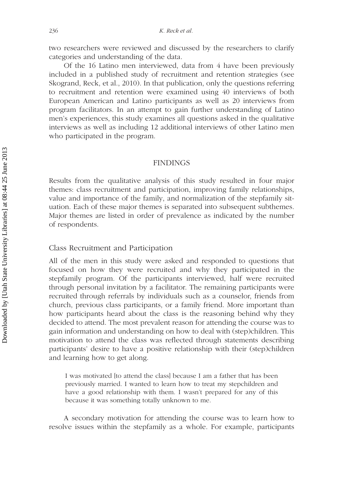two researchers were reviewed and discussed by the researchers to clarify categories and understanding of the data.

Of the 16 Latino men interviewed, data from 4 have been previously included in a published study of recruitment and retention strategies (see Skogrand, Reck, et al., 2010). In that publication, only the questions referring to recruitment and retention were examined using 40 interviews of both European American and Latino participants as well as 20 interviews from program facilitators. In an attempt to gain further understanding of Latino men's experiences, this study examines all questions asked in the qualitative interviews as well as including 12 additional interviews of other Latino men who participated in the program.

#### FINDINGS

Results from the qualitative analysis of this study resulted in four major themes: class recruitment and participation, improving family relationships, value and importance of the family, and normalization of the stepfamily situation. Each of these major themes is separated into subsequent subthemes. Major themes are listed in order of prevalence as indicated by the number of respondents.

## Class Recruitment and Participation

All of the men in this study were asked and responded to questions that focused on how they were recruited and why they participated in the stepfamily program. Of the participants interviewed, half were recruited through personal invitation by a facilitator. The remaining participants were recruited through referrals by individuals such as a counselor, friends from church, previous class participants, or a family friend. More important than how participants heard about the class is the reasoning behind why they decided to attend. The most prevalent reason for attending the course was to gain information and understanding on how to deal with (step)children. This motivation to attend the class was reflected through statements describing participants' desire to have a positive relationship with their (step)children and learning how to get along.

I was motivated [to attend the class] because I am a father that has been previously married. I wanted to learn how to treat my stepchildren and have a good relationship with them. I wasn't prepared for any of this because it was something totally unknown to me.

A secondary motivation for attending the course was to learn how to resolve issues within the stepfamily as a whole. For example, participants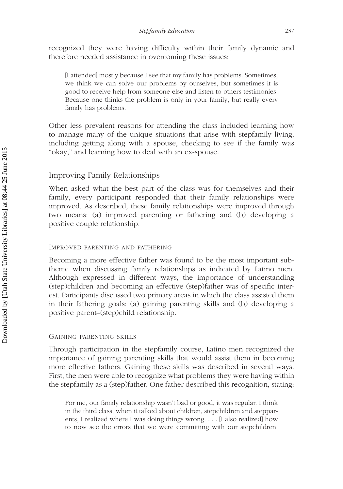recognized they were having difficulty within their family dynamic and therefore needed assistance in overcoming these issues:

[I attended] mostly because I see that my family has problems. Sometimes, we think we can solve our problems by ourselves, but sometimes it is good to receive help from someone else and listen to others testimonies. Because one thinks the problem is only in your family, but really every family has problems.

Other less prevalent reasons for attending the class included learning how to manage many of the unique situations that arise with stepfamily living, including getting along with a spouse, checking to see if the family was "okay," and learning how to deal with an ex-spouse.

## Improving Family Relationships

When asked what the best part of the class was for themselves and their family, every participant responded that their family relationships were improved. As described, these family relationships were improved through two means: (a) improved parenting or fathering and (b) developing a positive couple relationship.

## IMPROVED PARENTING AND FATHERING

Becoming a more effective father was found to be the most important subtheme when discussing family relationships as indicated by Latino men. Although expressed in different ways, the importance of understanding (step)children and becoming an effective (step)father was of specific interest. Participants discussed two primary areas in which the class assisted them in their fathering goals: (a) gaining parenting skills and (b) developing a positive parent–(step)child relationship.

## GAINING PARENTING SKILLS

Through participation in the stepfamily course, Latino men recognized the importance of gaining parenting skills that would assist them in becoming more effective fathers. Gaining these skills was described in several ways. First, the men were able to recognize what problems they were having within the stepfamily as a (step)father. One father described this recognition, stating:

For me, our family relationship wasn't bad or good, it was regular. I think in the third class, when it talked about children, stepchildren and stepparents, I realized where I was doing things wrong. *...* [I also realized] how to now see the errors that we were committing with our stepchildren.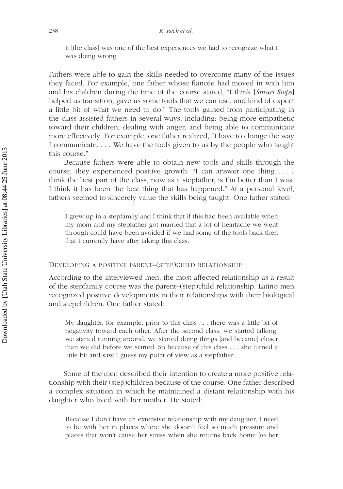It [the class] was one of the best experiences we had to recognize what I was doing wrong.

Fathers were able to gain the skills needed to overcome many of the issues they faced. For example, one father whose fiancée had moved in with him and his children during the time of the course stated, "I think [*Smart Steps*] helped us transition, gave us some tools that we can use, and kind of expect a little bit of what we need to do." The tools gained from participating in the class assisted fathers in several ways, including: being more empathetic toward their children, dealing with anger, and being able to communicate more effectively. For example, one father realized, "I have to change the way I communicate. *...* We have the tools given to us by the people who taught this course."

Because fathers were able to obtain new tools and skills through the course, they experienced positive growth: "I can answer one thing *...* I think the best part of the class, now as a stepfather, is I'm better than I was. I think it has been the best thing that has happened." At a personal level, fathers seemed to sincerely value the skills being taught. One father stated:

I grew up in a stepfamily and I think that if this had been available when my mom and my stepfather got married that a lot of heartache we went through could have been avoided if we had some of the tools back then that I currently have after taking this class.

#### DEVELOPING A POSITIVE PARENT–(STEP)CHILD RELATIONSHIP

According to the interviewed men, the most affected relationship as a result of the stepfamily course was the parent–(step)child relationship. Latino men recognized positive developments in their relationships with their biological and stepchildren. One father stated:

My daughter, for example, prior to this class *...* there was a little bit of negativity toward each other. After the second class, we started talking, we started running around, we started doing things [and became] closer than we did before we started. So because of this class *...* she turned a little bit and saw I guess my point of view as a stepfather.

Some of the men described their intention to create a more positive relationship with their (step)children because of the course. One father described a complex situation in which he maintained a distant relationship with his daughter who lived with her mother. He stated:

Because I don't have an extensive relationship with my daughter, I need to be with her in places where she doesn't feel so much pressure and places that won't cause her stress when she returns back home [to her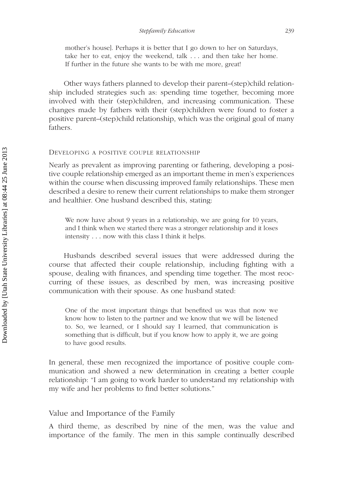mother's house]. Perhaps it is better that I go down to her on Saturdays, take her to eat, enjoy the weekend, talk *...* and then take her home. If further in the future she wants to be with me more, great!

Other ways fathers planned to develop their parent–(step)child relationship included strategies such as: spending time together, becoming more involved with their (step)children, and increasing communication. These changes made by fathers with their (step)children were found to foster a positive parent–(step)child relationship, which was the original goal of many fathers.

## DEVELOPING A POSITIVE COUPLE RELATIONSHIP

Nearly as prevalent as improving parenting or fathering, developing a positive couple relationship emerged as an important theme in men's experiences within the course when discussing improved family relationships. These men described a desire to renew their current relationships to make them stronger and healthier. One husband described this, stating:

We now have about 9 years in a relationship, we are going for 10 years, and I think when we started there was a stronger relationship and it loses intensity *...* now with this class I think it helps.

Husbands described several issues that were addressed during the course that affected their couple relationship, including fighting with a spouse, dealing with finances, and spending time together. The most reoccurring of these issues, as described by men, was increasing positive communication with their spouse. As one husband stated:

One of the most important things that benefited us was that now we know how to listen to the partner and we know that we will be listened to. So, we learned, or I should say I learned, that communication is something that is difficult, but if you know how to apply it, we are going to have good results.

In general, these men recognized the importance of positive couple communication and showed a new determination in creating a better couple relationship: "I am going to work harder to understand my relationship with my wife and her problems to find better solutions."

## Value and Importance of the Family

A third theme, as described by nine of the men, was the value and importance of the family. The men in this sample continually described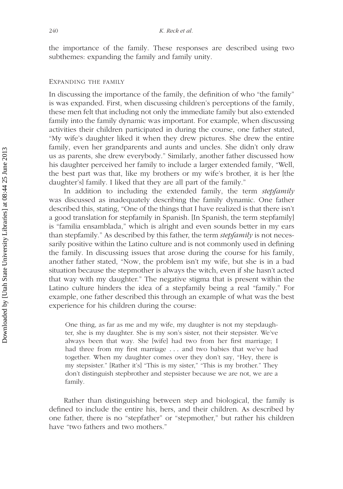the importance of the family. These responses are described using two subthemes: expanding the family and family unity.

#### EXPANDING THE FAMILY

In discussing the importance of the family, the definition of who "the family" is was expanded. First, when discussing children's perceptions of the family, these men felt that including not only the immediate family but also extended family into the family dynamic was important. For example, when discussing activities their children participated in during the course, one father stated, "My wife's daughter liked it when they drew pictures. She drew the entire family, even her grandparents and aunts and uncles. She didn't only draw us as parents, she drew everybody." Similarly, another father discussed how his daughter perceived her family to include a larger extended family, "Well, the best part was that, like my brothers or my wife's brother, it is her [the daughter's] family. I liked that they are all part of the family."

In addition to including the extended family, the term *stepfamily* was discussed as inadequately describing the family dynamic. One father described this, stating, "One of the things that I have realized is that there isn't a good translation for stepfamily in Spanish. [In Spanish, the term stepfamily] is "familia ensamblada," which is alright and even sounds better in my ears than stepfamily." As described by this father, the term *stepfamily* is not necessarily positive within the Latino culture and is not commonly used in defining the family. In discussing issues that arose during the course for his family, another father stated, "Now, the problem isn't my wife, but she is in a bad situation because the stepmother is always the witch, even if she hasn't acted that way with my daughter." The negative stigma that is present within the Latino culture hinders the idea of a stepfamily being a real "family." For example, one father described this through an example of what was the best experience for his children during the course:

One thing, as far as me and my wife, my daughter is not my stepdaughter, she is my daughter. She is my son's sister, not their stepsister. We've always been that way. She [wife] had two from her first marriage; I had three from my first marriage *...* and two babies that we've had together. When my daughter comes over they don't say, "Hey, there is my stepsister." [Rather it's] "This is my sister," "This is my brother." They don't distinguish stepbrother and stepsister because we are not, we are a family.

Rather than distinguishing between step and biological, the family is defined to include the entire his, hers, and their children. As described by one father, there is no "stepfather" or "stepmother," but rather his children have "two fathers and two mothers."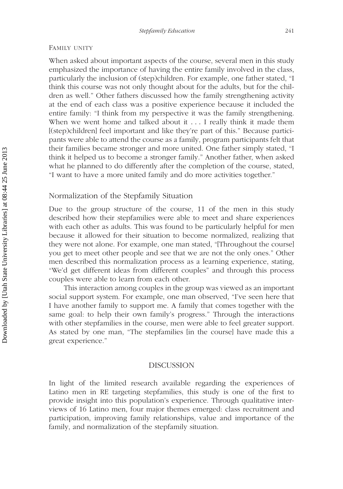## FAMILY UNITY

When asked about important aspects of the course, several men in this study emphasized the importance of having the entire family involved in the class, particularly the inclusion of (step)children. For example, one father stated, "I think this course was not only thought about for the adults, but for the children as well." Other fathers discussed how the family strengthening activity at the end of each class was a positive experience because it included the entire family: "I think from my perspective it was the family strengthening. When we went home and talked about it *...* I really think it made them [(step)children] feel important and like they're part of this." Because participants were able to attend the course as a family, program participants felt that their families became stronger and more united. One father simply stated, "I think it helped us to become a stronger family." Another father, when asked what he planned to do differently after the completion of the course, stated, "I want to have a more united family and do more activities together."

## Normalization of the Stepfamily Situation

Due to the group structure of the course, 11 of the men in this study described how their stepfamilies were able to meet and share experiences with each other as adults. This was found to be particularly helpful for men because it allowed for their situation to become normalized, realizing that they were not alone. For example, one man stated, "[Throughout the course] you get to meet other people and see that we are not the only ones." Other men described this normalization process as a learning experience, stating, "We'd get different ideas from different couples" and through this process couples were able to learn from each other.

This interaction among couples in the group was viewed as an important social support system. For example, one man observed, "I've seen here that I have another family to support me. A family that comes together with the same goal: to help their own family's progress." Through the interactions with other stepfamilies in the course, men were able to feel greater support. As stated by one man, "The stepfamilies [in the course] have made this a great experience."

#### DISCUSSION

In light of the limited research available regarding the experiences of Latino men in RE targeting stepfamilies, this study is one of the first to provide insight into this population's experience. Through qualitative interviews of 16 Latino men, four major themes emerged: class recruitment and participation, improving family relationships, value and importance of the family, and normalization of the stepfamily situation.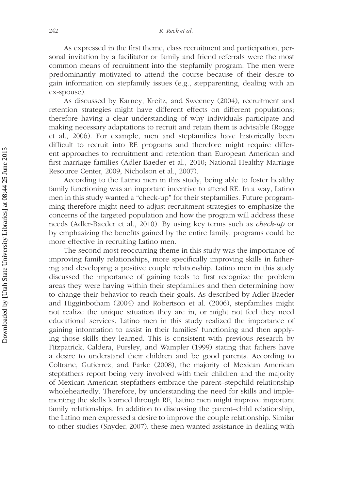As expressed in the first theme, class recruitment and participation, personal invitation by a facilitator or family and friend referrals were the most common means of recruitment into the stepfamily program. The men were predominantly motivated to attend the course because of their desire to gain information on stepfamily issues (e.g., stepparenting, dealing with an ex-spouse).

As discussed by Karney, Kreitz, and Sweeney (2004), recruitment and retention strategies might have different effects on different populations; therefore having a clear understanding of why individuals participate and making necessary adaptations to recruit and retain them is advisable (Rogge et al., 2006). For example, men and stepfamilies have historically been difficult to recruit into RE programs and therefore might require different approaches to recruitment and retention than European American and first-marriage families (Adler-Baeder et al., 2010; National Healthy Marriage Resource Center, 2009; Nicholson et al., 2007).

According to the Latino men in this study, being able to foster healthy family functioning was an important incentive to attend RE. In a way, Latino men in this study wanted a "check-up" for their stepfamilies. Future programming therefore might need to adjust recruitment strategies to emphasize the concerns of the targeted population and how the program will address these needs (Adler-Baeder et al., 2010). By using key terms such as *check-up* or by emphasizing the benefits gained by the entire family, programs could be more effective in recruiting Latino men.

The second most reoccurring theme in this study was the importance of improving family relationships, more specifically improving skills in fathering and developing a positive couple relationship. Latino men in this study discussed the importance of gaining tools to first recognize the problem areas they were having within their stepfamilies and then determining how to change their behavior to reach their goals. As described by Adler-Baeder and Higginbotham (2004) and Robertson et al. (2006), stepfamilies might not realize the unique situation they are in, or might not feel they need educational services. Latino men in this study realized the importance of gaining information to assist in their families' functioning and then applying those skills they learned. This is consistent with previous research by Fitzpatrick, Caldera, Pursley, and Wampler (1999) stating that fathers have a desire to understand their children and be good parents. According to Coltrane, Gutierrez, and Parke (2008), the majority of Mexican American stepfathers report being very involved with their children and the majority of Mexican American stepfathers embrace the parent–stepchild relationship wholeheartedly. Therefore, by understanding the need for skills and implementing the skills learned through RE, Latino men might improve important family relationships. In addition to discussing the parent–child relationship, the Latino men expressed a desire to improve the couple relationship. Similar to other studies (Snyder, 2007), these men wanted assistance in dealing with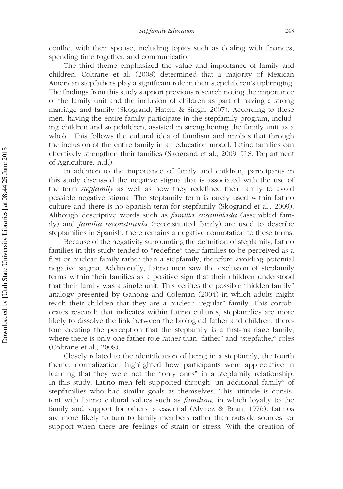conflict with their spouse, including topics such as dealing with finances, spending time together, and communication.

The third theme emphasized the value and importance of family and children. Coltrane et al. (2008) determined that a majority of Mexican American stepfathers play a significant role in their stepchildren's upbringing. The findings from this study support previous research noting the importance of the family unit and the inclusion of children as part of having a strong marriage and family (Skogrand, Hatch, & Singh, 2007). According to these men, having the entire family participate in the stepfamily program, including children and stepchildren, assisted in strengthening the family unit as a whole. This follows the cultural idea of familism and implies that through the inclusion of the entire family in an education model, Latino families can effectively strengthen their families (Skogrand et al., 2009; U.S. Department of Agriculture, n.d.).

In addition to the importance of family and children, participants in this study discussed the negative stigma that is associated with the use of the term *stepfamily* as well as how they redefined their family to avoid possible negative stigma. The stepfamily term is rarely used within Latino culture and there is no Spanish term for stepfamily (Skogrand et al., 2009). Although descriptive words such as *familia ensamblada* (assembled family) and *familia reconstituida* (reconstituted family) are used to describe stepfamilies in Spanish, there remains a negative connotation to these terms.

Because of the negativity surrounding the definition of stepfamily, Latino families in this study tended to "redefine" their families to be perceived as a first or nuclear family rather than a stepfamily, therefore avoiding potential negative stigma. Additionally, Latino men saw the exclusion of stepfamily terms within their families as a positive sign that their children understood that their family was a single unit. This verifies the possible "hidden family" analogy presented by Ganong and Coleman (2004) in which adults might teach their children that they are a nuclear "regular" family. This corroborates research that indicates within Latino cultures, stepfamilies are more likely to dissolve the link between the biological father and children, therefore creating the perception that the stepfamily is a first-marriage family, where there is only one father role rather than "father" and "stepfather" roles (Coltrane et al., 2008).

Closely related to the identification of being in a stepfamily, the fourth theme, normalization, highlighted how participants were appreciative in learning that they were not the "only ones" in a stepfamily relationship. In this study, Latino men felt supported through "an additional family" of stepfamilies who had similar goals as themselves. This attitude is consistent with Latino cultural values such as *familism,* in which loyalty to the family and support for others is essential (Alvirez & Bean, 1976). Latinos are more likely to turn to family members rather than outside sources for support when there are feelings of strain or stress. With the creation of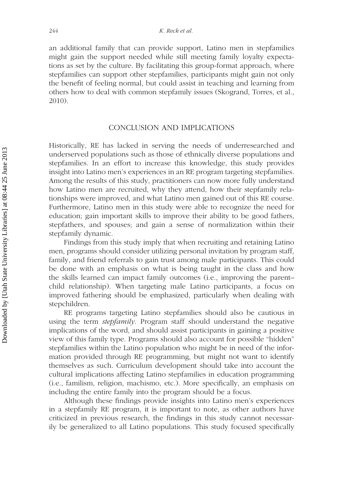an additional family that can provide support, Latino men in stepfamilies might gain the support needed while still meeting family loyalty expectations as set by the culture. By facilitating this group-format approach, where stepfamilies can support other stepfamilies, participants might gain not only the benefit of feeling normal, but could assist in teaching and learning from others how to deal with common stepfamily issues (Skogrand, Torres, et al., 2010).

## CONCLUSION AND IMPLICATIONS

Historically, RE has lacked in serving the needs of underresearched and underserved populations such as those of ethnically diverse populations and stepfamilies. In an effort to increase this knowledge, this study provides insight into Latino men's experiences in an RE program targeting stepfamilies. Among the results of this study, practitioners can now more fully understand how Latino men are recruited, why they attend, how their stepfamily relationships were improved, and what Latino men gained out of this RE course. Furthermore, Latino men in this study were able to recognize the need for education; gain important skills to improve their ability to be good fathers, stepfathers, and spouses; and gain a sense of normalization within their stepfamily dynamic.

Findings from this study imply that when recruiting and retaining Latino men, programs should consider utilizing personal invitation by program staff, family, and friend referrals to gain trust among male participants. This could be done with an emphasis on what is being taught in the class and how the skills learned can impact family outcomes (i.e., improving the parent– child relationship). When targeting male Latino participants, a focus on improved fathering should be emphasized, particularly when dealing with stepchildren.

RE programs targeting Latino stepfamilies should also be cautious in using the term *stepfamily.* Program staff should understand the negative implications of the word, and should assist participants in gaining a positive view of this family type. Programs should also account for possible "hidden" stepfamilies within the Latino population who might be in need of the information provided through RE programming, but might not want to identify themselves as such. Curriculum development should take into account the cultural implications affecting Latino stepfamilies in education programming (i.e., familism, religion, machismo, etc.). More specifically, an emphasis on including the entire family into the program should be a focus.

Although these findings provide insights into Latino men's experiences in a stepfamily RE program, it is important to note, as other authors have criticized in previous research, the findings in this study cannot necessarily be generalized to all Latino populations. This study focused specifically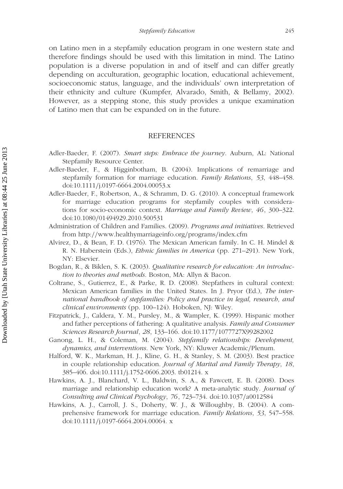on Latino men in a stepfamily education program in one western state and therefore findings should be used with this limitation in mind. The Latino population is a diverse population in and of itself and can differ greatly depending on acculturation, geographic location, educational achievement, socioeconomic status, language, and the individuals' own interpretation of their ethnicity and culture (Kumpfer, Alvarado, Smith, & Bellamy, 2002). However, as a stepping stone, this study provides a unique examination of Latino men that can be expanded on in the future.

## **REFERENCES**

- Adler-Baeder, F. (2007). *Smart steps: Embrace the journey*. Auburn, AL: National Stepfamily Resource Center.
- Adler-Baeder, F., & Higginbotham, B. (2004). Implications of remarriage and stepfamily formation for marriage education. *Family Relations*, *53*, 448–458. doi:10.1111*/*j.0197-6664.2004.00053.x
- Adler-Baeder, F., Robertson, A., & Schramm, D. G. (2010). A conceptual framework for marriage education programs for stepfamily couples with considerations for socio-economic context. *Marriage and Family Review*, *46*, 300–322. doi:10.1080*/*01494929.2010.500531
- Administration of Children and Families. (2009). *Programs and initiatives*. Retrieved from http:*//*www.healthymarriageinfo.org*/*programs*/*index.cfm
- Alvirez, D., & Bean, F. D. (1976). The Mexican American family. In C. H. Mindel & R. N. Haberstein (Eds.), *Ethnic families in America* (pp. 271–291). New York, NY: Elsevier.
- Bogdan, R., & Biklen, S. K. (2003). *Qualitative research for education: An introduction to theories and methods*. Boston, MA: Allyn & Bacon.
- Coltrane, S., Gutierrez, E., & Parke, R. D. (2008). Stepfathers in cultural context: Mexican American families in the United States. In J. Pryor (Ed.), *The international handbook of stepfamilies: Policy and practice in legal, research, and clinical environments* (pp. 100–124). Hoboken, NJ: Wiley.
- Fitzpatrick, J., Caldera, Y. M., Pursley, M., & Wampler, K. (1999). Hispanic mother and father perceptions of fathering: A qualitative analysis. *Family and Consumer Sciences Research Journal*, *28*, 133–166. doi:10.1177*/*1077727X99282002
- Ganong, L. H., & Coleman, M. (2004). *Stepfamily relationships: Development, dynamics, and interventions*. New York, NY: Kluwer Academic*/*Plenum.
- Halford, W. K., Markman, H. J., Kline, G. H., & Stanley, S. M. (2003). Best practice in couple relationship education. *Journal of Marital and Family Therapy*, *18*, 385–406. doi:10.1111*/*j.1752-0606.2003. tb01214. x
- Hawkins, A. J., Blanchard, V. L., Baldwin, S. A., & Fawcett, E. B. (2008). Does marriage and relationship education work? A meta-analytic study. *Journal of Consulting and Clinical Psychology*, *76*, 723–734. doi:10.1037*/*a0012584
- Hawkins, A. J., Carroll, J. S., Doherty, W. J., & Willoughby, B. (2004). A comprehensive framework for marriage education. *Family Relations*, *53*, 547–558. doi:10.1111*/*j.0197-6664.2004.00064. x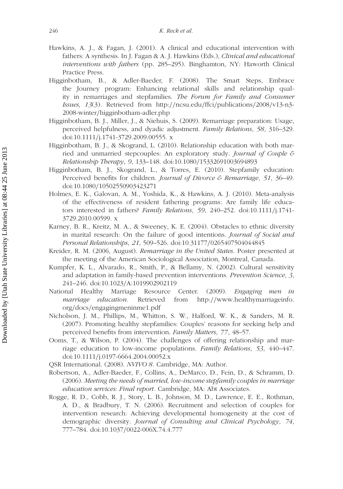- Hawkins, A. J., & Fagan, J. (2001). A clinical and educational intervention with fathers: A synthesis. In J. Fagan & A. J. Hawkins (Eds.), *Clinical and educational interventions with fathers* (pp. 285–295). Binghamton, NY: Haworth Clinical Practice Press.
- Higginbotham, B., & Adler-Baeder, F. (2008). The Smart Steps, Embrace the Journey program: Enhancing relational skills and relationship quality in remarriages and stepfamilies. *The Forum for Family and Consumer Issues, 13*(3). Retrieved from http:*//*ncsu.edu*/*ffci*/*publications*/*2008*/*v13-n3- 2008-winter*/*higginbotham-adler.php
- Higginbotham, B. J., Miller, J., & Niehuis, S. (2009). Remarriage preparation: Usage, perceived helpfulness, and dyadic adjustment. *Family Relations*, *58*, 316–329. doi:10.1111*/*j.1741-3729.2009.00555. x
- Higginbotham, B. J., & Skogrand, L. (2010). Relationship education with both married and unmarried stepcouples: An exploratory study. *Journal of Couple & Relationship Therapy*, *9*, 133–148. doi:10.1080*/*15332691003694893
- Higginbotham, B. J., Skogrand, L., & Torres, E. (2010). Stepfamily education: Perceived benefits for children. *Journal of Divorce & Remarriage*, *51*, 36–49. doi:10.1080*/*10502550903423271
- Holmes, E. K., Galovan, A. M., Yoshida, K., & Hawkins, A. J. (2010). Meta-analysis of the effectiveness of resident fathering programs: Are family life educators interested in fathers? *Family Relations*, *59*, 240–252. doi:10.1111*/*j.1741- 3729.2010.00599. x
- Karney, B. R., Kreitz, M. A., & Sweeney, K. E. (2004). Obstacles to ethnic diversity in marital research: On the failure of good intentions. *Journal of Social and Personal Relationships*, *21*, 509–526. doi:10.31177*/*0265407504044845
- Kreider, R. M. (2006, August). *Remarriage in the United States*. Poster presented at the meeting of the American Sociological Association, Montreal, Canada.
- Kumpfer, K. L., Alvarado, R., Smith, P., & Bellamy, N. (2002). Cultural sensitivity and adaptation in family-based prevention interventions. *Prevention Science*, *3*, 241–246. doi:10.1023*/*A:1019902902119
- National Healthy Marriage Resource Center. (2009). *Engaging men in marriage education*. Retrieved from http:*//*www.healthymarriageinfo. org*/*docs*/*engagingmeninme1.pdf
- Nicholson, J. M., Phillips, M., Whitton, S. W., Halford, W. K., & Sanders, M. R. (2007). Promoting healthy stepfamilies: Couples' reasons for seeking help and perceived benefits from intervention. *Family Matters*, *77*, 48–57.
- Ooms, T., & Wilson, P. (2004). The challenges of offering relationship and marriage education to low-income populations. *Family Relations*, *53*, 440–447. doi:10.1111*/*j.0197-6664.2004.00052.x
- QSR International. (2008). *NVIVO 8*. Cambridge, MA: Author.
- Robertson, A., Adler-Baeder, F., Collins, A., DeMarco, D., Fein, D., & Schramm, D. (2006). *Meeting the needs of married, low-income stepfamily couples in marriage education services: Final report*. Cambridge, MA: Abt Associates.
- Rogge, R. D., Cobb, R. J., Story, L. B., Johnson, M. D., Lawrence, E. E., Rothman, A. D., & Bradbury, T. N. (2006). Recruitment and selection of couples for intervention research: Achieving developmental homogeneity at the cost of demographic diversity. *Journal of Consulting and Clinical Psychology*, *74*, 777–784. doi:10.1037*/*0022-006X.74.4.777